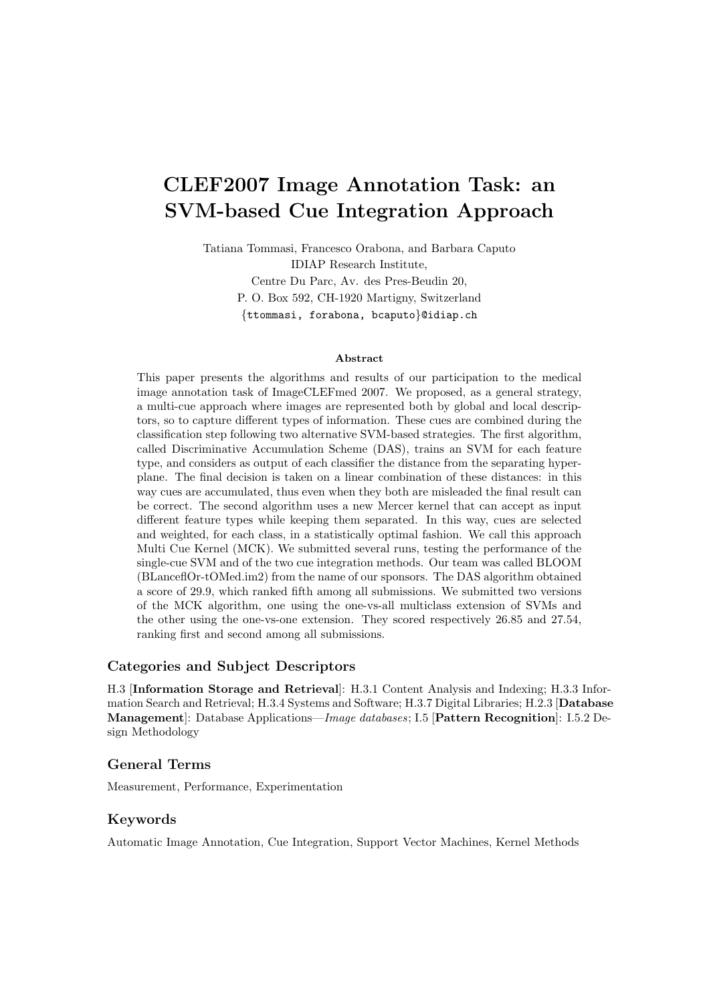# CLEF2007 Image Annotation Task: an SVM-based Cue Integration Approach

Tatiana Tommasi, Francesco Orabona, and Barbara Caputo

IDIAP Research Institute,

Centre Du Parc, Av. des Pres-Beudin 20, P. O. Box 592, CH-1920 Martigny, Switzerland {ttommasi, forabona, bcaputo}@idiap.ch

#### Abstract

This paper presents the algorithms and results of our participation to the medical image annotation task of ImageCLEFmed 2007. We proposed, as a general strategy, a multi-cue approach where images are represented both by global and local descriptors, so to capture different types of information. These cues are combined during the classification step following two alternative SVM-based strategies. The first algorithm, called Discriminative Accumulation Scheme (DAS), trains an SVM for each feature type, and considers as output of each classifier the distance from the separating hyperplane. The final decision is taken on a linear combination of these distances: in this way cues are accumulated, thus even when they both are misleaded the final result can be correct. The second algorithm uses a new Mercer kernel that can accept as input different feature types while keeping them separated. In this way, cues are selected and weighted, for each class, in a statistically optimal fashion. We call this approach Multi Cue Kernel (MCK). We submitted several runs, testing the performance of the single-cue SVM and of the two cue integration methods. Our team was called BLOOM (BLanceflOr-tOMed.im2) from the name of our sponsors. The DAS algorithm obtained a score of 29.9, which ranked fifth among all submissions. We submitted two versions of the MCK algorithm, one using the one-vs-all multiclass extension of SVMs and the other using the one-vs-one extension. They scored respectively 26.85 and 27.54, ranking first and second among all submissions.

#### Categories and Subject Descriptors

H.3 [Information Storage and Retrieval]: H.3.1 Content Analysis and Indexing; H.3.3 Information Search and Retrieval; H.3.4 Systems and Software; H.3.7 Digital Libraries; H.2.3 [Database Management]: Database Applications—Image databases; I.5 [Pattern Recognition]: I.5.2 Design Methodology

#### General Terms

Measurement, Performance, Experimentation

#### Keywords

Automatic Image Annotation, Cue Integration, Support Vector Machines, Kernel Methods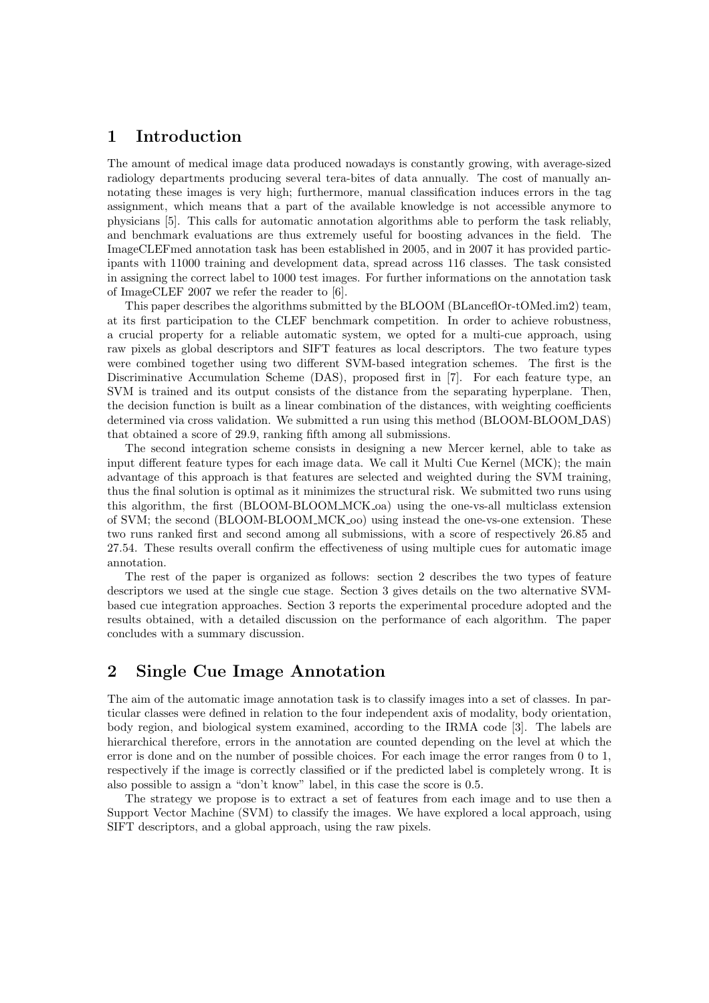### 1 Introduction

The amount of medical image data produced nowadays is constantly growing, with average-sized radiology departments producing several tera-bites of data annually. The cost of manually annotating these images is very high; furthermore, manual classification induces errors in the tag assignment, which means that a part of the available knowledge is not accessible anymore to physicians [5]. This calls for automatic annotation algorithms able to perform the task reliably, and benchmark evaluations are thus extremely useful for boosting advances in the field. The ImageCLEFmed annotation task has been established in 2005, and in 2007 it has provided participants with 11000 training and development data, spread across 116 classes. The task consisted in assigning the correct label to 1000 test images. For further informations on the annotation task of ImageCLEF 2007 we refer the reader to [6].

This paper describes the algorithms submitted by the BLOOM (BLanceflOr-tOMed.im2) team, at its first participation to the CLEF benchmark competition. In order to achieve robustness, a crucial property for a reliable automatic system, we opted for a multi-cue approach, using raw pixels as global descriptors and SIFT features as local descriptors. The two feature types were combined together using two different SVM-based integration schemes. The first is the Discriminative Accumulation Scheme (DAS), proposed first in [7]. For each feature type, an SVM is trained and its output consists of the distance from the separating hyperplane. Then, the decision function is built as a linear combination of the distances, with weighting coefficients determined via cross validation. We submitted a run using this method (BLOOM-BLOOM DAS) that obtained a score of 29.9, ranking fifth among all submissions.

The second integration scheme consists in designing a new Mercer kernel, able to take as input different feature types for each image data. We call it Multi Cue Kernel (MCK); the main advantage of this approach is that features are selected and weighted during the SVM training, thus the final solution is optimal as it minimizes the structural risk. We submitted two runs using this algorithm, the first (BLOOM-BLOOM MCK oa) using the one-vs-all multiclass extension of SVM; the second (BLOOM-BLOOM MCK oo) using instead the one-vs-one extension. These two runs ranked first and second among all submissions, with a score of respectively 26.85 and 27.54. These results overall confirm the effectiveness of using multiple cues for automatic image annotation.

The rest of the paper is organized as follows: section 2 describes the two types of feature descriptors we used at the single cue stage. Section 3 gives details on the two alternative SVMbased cue integration approaches. Section 3 reports the experimental procedure adopted and the results obtained, with a detailed discussion on the performance of each algorithm. The paper concludes with a summary discussion.

### 2 Single Cue Image Annotation

The aim of the automatic image annotation task is to classify images into a set of classes. In particular classes were defined in relation to the four independent axis of modality, body orientation, body region, and biological system examined, according to the IRMA code [3]. The labels are hierarchical therefore, errors in the annotation are counted depending on the level at which the error is done and on the number of possible choices. For each image the error ranges from 0 to 1, respectively if the image is correctly classified or if the predicted label is completely wrong. It is also possible to assign a "don't know" label, in this case the score is 0.5.

The strategy we propose is to extract a set of features from each image and to use then a Support Vector Machine (SVM) to classify the images. We have explored a local approach, using SIFT descriptors, and a global approach, using the raw pixels.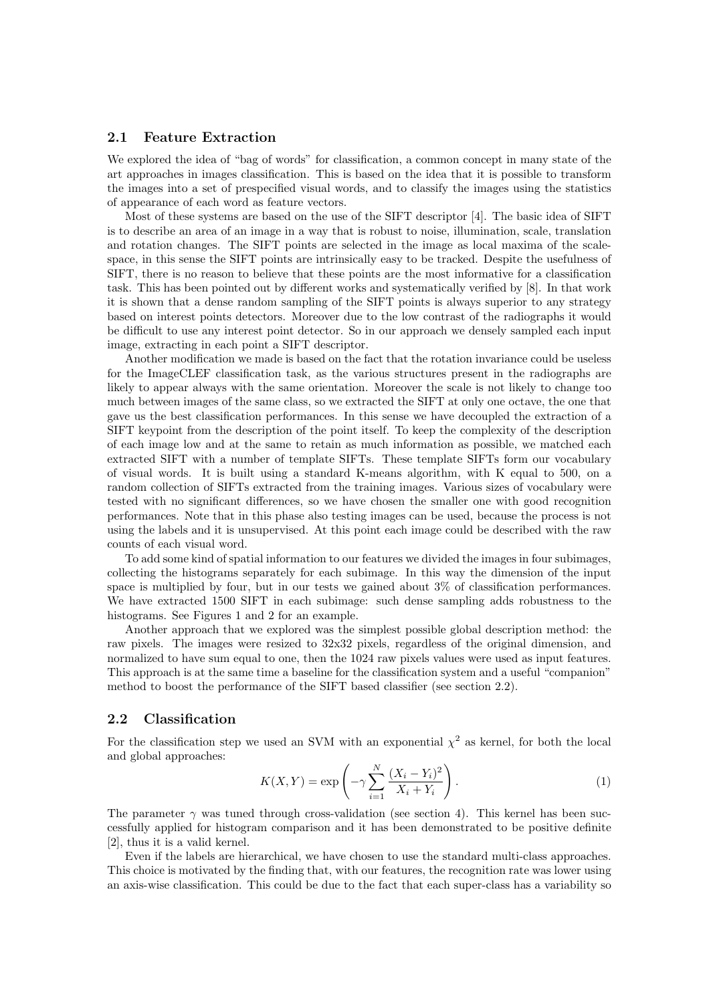#### 2.1 Feature Extraction

We explored the idea of "bag of words" for classification, a common concept in many state of the art approaches in images classification. This is based on the idea that it is possible to transform the images into a set of prespecified visual words, and to classify the images using the statistics of appearance of each word as feature vectors.

Most of these systems are based on the use of the SIFT descriptor [4]. The basic idea of SIFT is to describe an area of an image in a way that is robust to noise, illumination, scale, translation and rotation changes. The SIFT points are selected in the image as local maxima of the scalespace, in this sense the SIFT points are intrinsically easy to be tracked. Despite the usefulness of SIFT, there is no reason to believe that these points are the most informative for a classification task. This has been pointed out by different works and systematically verified by [8]. In that work it is shown that a dense random sampling of the SIFT points is always superior to any strategy based on interest points detectors. Moreover due to the low contrast of the radiographs it would be difficult to use any interest point detector. So in our approach we densely sampled each input image, extracting in each point a SIFT descriptor.

Another modification we made is based on the fact that the rotation invariance could be useless for the ImageCLEF classification task, as the various structures present in the radiographs are likely to appear always with the same orientation. Moreover the scale is not likely to change too much between images of the same class, so we extracted the SIFT at only one octave, the one that gave us the best classification performances. In this sense we have decoupled the extraction of a SIFT keypoint from the description of the point itself. To keep the complexity of the description of each image low and at the same to retain as much information as possible, we matched each extracted SIFT with a number of template SIFTs. These template SIFTs form our vocabulary of visual words. It is built using a standard K-means algorithm, with K equal to 500, on a random collection of SIFTs extracted from the training images. Various sizes of vocabulary were tested with no significant differences, so we have chosen the smaller one with good recognition performances. Note that in this phase also testing images can be used, because the process is not using the labels and it is unsupervised. At this point each image could be described with the raw counts of each visual word.

To add some kind of spatial information to our features we divided the images in four subimages, collecting the histograms separately for each subimage. In this way the dimension of the input space is multiplied by four, but in our tests we gained about 3% of classification performances. We have extracted 1500 SIFT in each subimage: such dense sampling adds robustness to the histograms. See Figures 1 and 2 for an example.

Another approach that we explored was the simplest possible global description method: the raw pixels. The images were resized to 32x32 pixels, regardless of the original dimension, and normalized to have sum equal to one, then the 1024 raw pixels values were used as input features. This approach is at the same time a baseline for the classification system and a useful "companion" method to boost the performance of the SIFT based classifier (see section 2.2).

#### 2.2 Classification

For the classification step we used an SVM with an exponential  $\chi^2$  as kernel, for both the local and global approaches: !<br>!

$$
K(X,Y) = \exp\left(-\gamma \sum_{i=1}^{N} \frac{(X_i - Y_i)^2}{X_i + Y_i}\right).
$$
\n(1)

The parameter  $\gamma$  was tuned through cross-validation (see section 4). This kernel has been successfully applied for histogram comparison and it has been demonstrated to be positive definite [2], thus it is a valid kernel.

Even if the labels are hierarchical, we have chosen to use the standard multi-class approaches. This choice is motivated by the finding that, with our features, the recognition rate was lower using an axis-wise classification. This could be due to the fact that each super-class has a variability so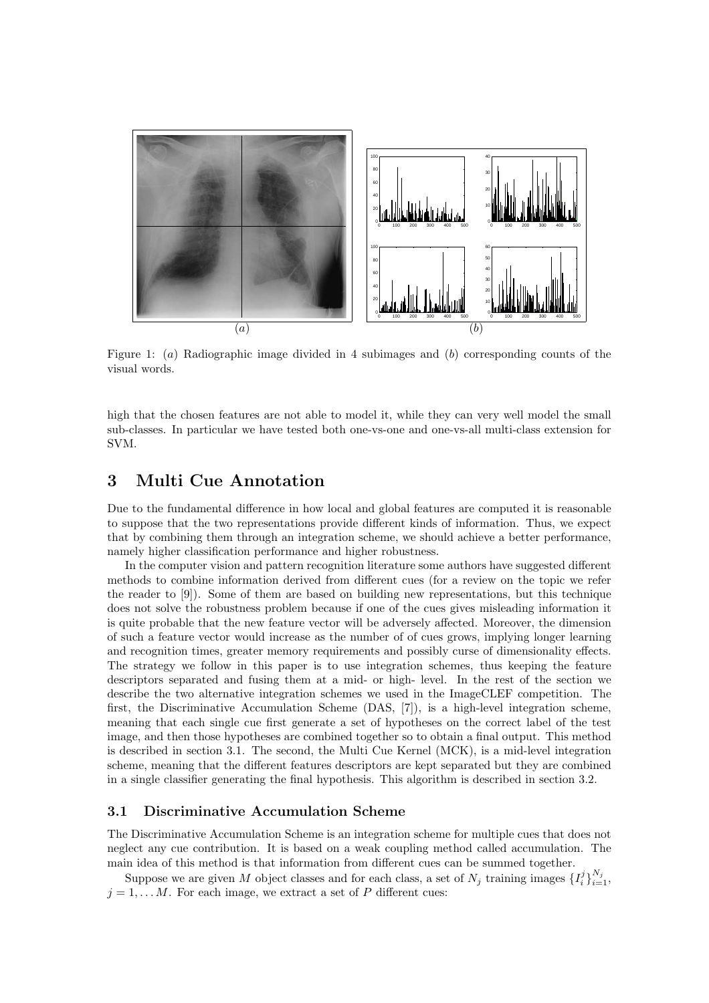

Figure 1: (a) Radiographic image divided in 4 subimages and (b) corresponding counts of the visual words.

high that the chosen features are not able to model it, while they can very well model the small sub-classes. In particular we have tested both one-vs-one and one-vs-all multi-class extension for SVM.

# 3 Multi Cue Annotation

Due to the fundamental difference in how local and global features are computed it is reasonable to suppose that the two representations provide different kinds of information. Thus, we expect that by combining them through an integration scheme, we should achieve a better performance, namely higher classification performance and higher robustness.

In the computer vision and pattern recognition literature some authors have suggested different methods to combine information derived from different cues (for a review on the topic we refer the reader to [9]). Some of them are based on building new representations, but this technique does not solve the robustness problem because if one of the cues gives misleading information it is quite probable that the new feature vector will be adversely affected. Moreover, the dimension of such a feature vector would increase as the number of of cues grows, implying longer learning and recognition times, greater memory requirements and possibly curse of dimensionality effects. The strategy we follow in this paper is to use integration schemes, thus keeping the feature descriptors separated and fusing them at a mid- or high- level. In the rest of the section we describe the two alternative integration schemes we used in the ImageCLEF competition. The first, the Discriminative Accumulation Scheme (DAS, [7]), is a high-level integration scheme, meaning that each single cue first generate a set of hypotheses on the correct label of the test image, and then those hypotheses are combined together so to obtain a final output. This method is described in section 3.1. The second, the Multi Cue Kernel (MCK), is a mid-level integration scheme, meaning that the different features descriptors are kept separated but they are combined in a single classifier generating the final hypothesis. This algorithm is described in section 3.2.

#### 3.1 Discriminative Accumulation Scheme

The Discriminative Accumulation Scheme is an integration scheme for multiple cues that does not neglect any cue contribution. It is based on a weak coupling method called accumulation. The main idea of this method is that information from different cues can be summed together.

Suppose we are given M object classes and for each class, a set of  $N_j$  training images  $\{I_i^j\}_{i=1}^{N_j}$ ,  $j = 1, \ldots M$ . For each image, we extract a set of P different cues: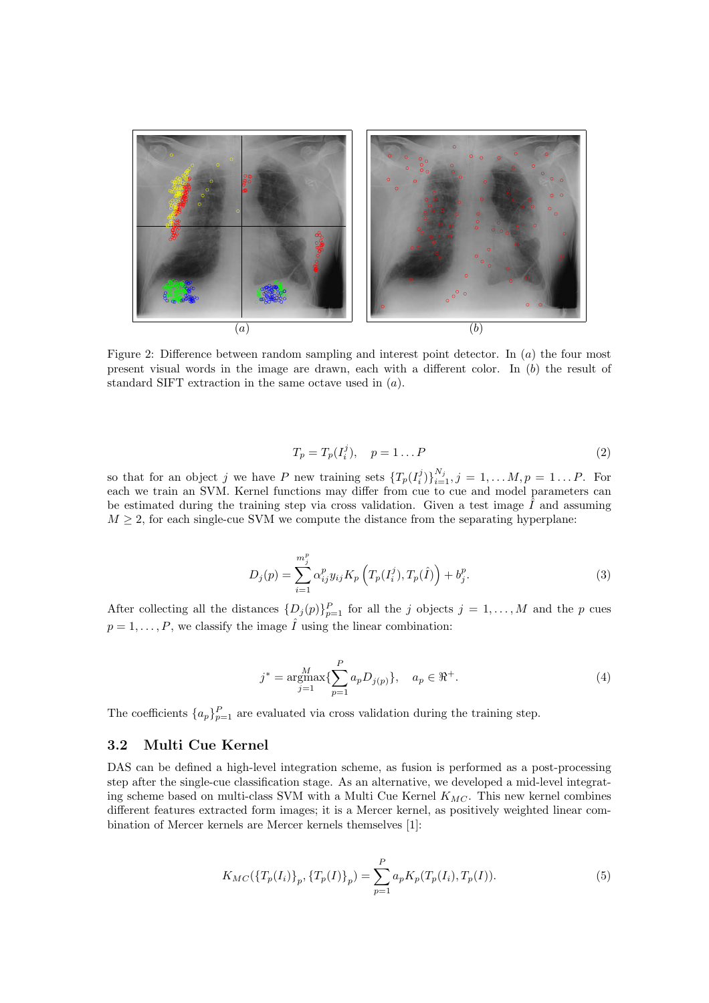

Figure 2: Difference between random sampling and interest point detector. In  $(a)$  the four most present visual words in the image are drawn, each with a different color. In  $(b)$  the result of standard SIFT extraction in the same octave used in (a).

$$
T_p = T_p(I_i^j), \quad p = 1 \dots P \tag{2}
$$

so that for an object j we have P new training sets  $\{T_p(I_i^j)\}_{i=1}^{N_j}, j = 1, \ldots M, p = 1 \ldots P$ . For each we train an SVM. Kernel functions may differ from cue to cue and model parameters can be estimated during the training step via cross validation. Given a test image  $\hat{I}$  and assuming  $M \geq 2$ , for each single-cue SVM we compute the distance from the separating hyperplane:

$$
D_j(p) = \sum_{i=1}^{m_j^p} \alpha_{ij}^p y_{ij} K_p \left( T_p(I_i^j), T_p(\hat{I}) \right) + b_j^p.
$$
 (3)

After collecting all the distances  $\{D_j(p)\}_{p=1}^P$  for all the j objects  $j=1,\ldots,M$  and the p cues  $p = 1, \ldots, P$ , we classify the image  $\hat{I}$  using the linear combination:

$$
j^* = \underset{j=1}{\text{argmax}} \{ \sum_{p=1}^P a_p D_{j(p)} \}, \quad a_p \in \Re^+.
$$
 (4)

The coefficients  $\{a_p\}_{p=1}^P$  are evaluated via cross validation during the training step.

#### 3.2 Multi Cue Kernel

DAS can be defined a high-level integration scheme, as fusion is performed as a post-processing step after the single-cue classification stage. As an alternative, we developed a mid-level integrating scheme based on multi-class SVM with a Multi Cue Kernel  $K_{MC}$ . This new kernel combines different features extracted form images; it is a Mercer kernel, as positively weighted linear combination of Mercer kernels are Mercer kernels themselves [1]:

$$
K_{MC}(\{T_p(I_i)\}_p, \{T_p(I)\}_p) = \sum_{p=1}^P a_p K_p(T_p(I_i), T_p(I)).
$$
\n(5)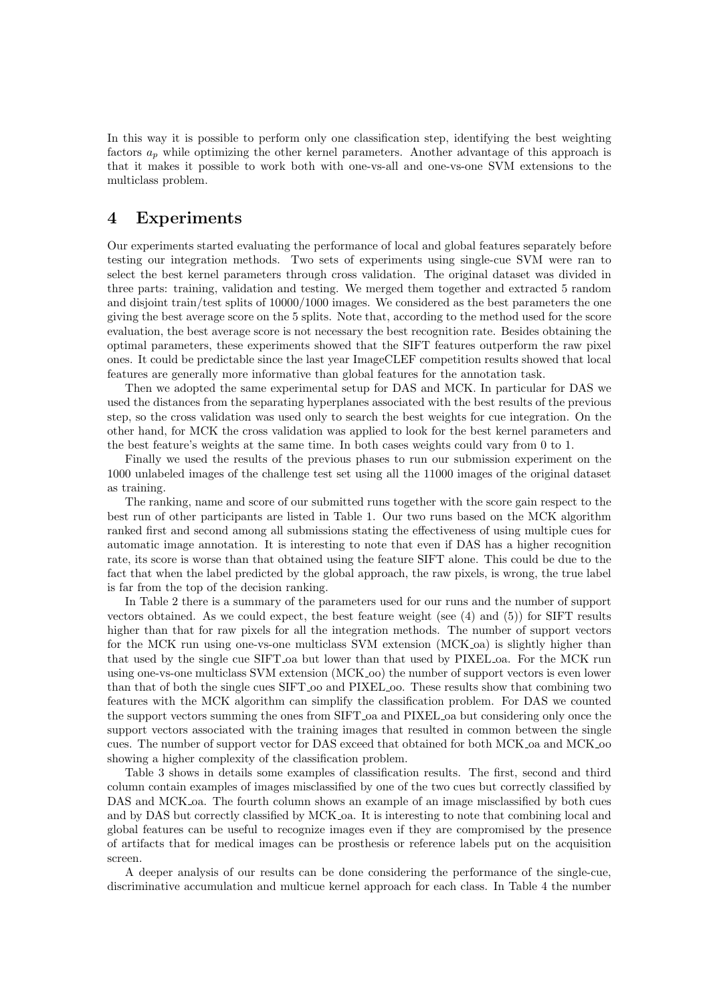In this way it is possible to perform only one classification step, identifying the best weighting factors  $a_p$  while optimizing the other kernel parameters. Another advantage of this approach is that it makes it possible to work both with one-vs-all and one-vs-one SVM extensions to the multiclass problem.

### 4 Experiments

Our experiments started evaluating the performance of local and global features separately before testing our integration methods. Two sets of experiments using single-cue SVM were ran to select the best kernel parameters through cross validation. The original dataset was divided in three parts: training, validation and testing. We merged them together and extracted 5 random and disjoint train/test splits of 10000/1000 images. We considered as the best parameters the one giving the best average score on the 5 splits. Note that, according to the method used for the score evaluation, the best average score is not necessary the best recognition rate. Besides obtaining the optimal parameters, these experiments showed that the SIFT features outperform the raw pixel ones. It could be predictable since the last year ImageCLEF competition results showed that local features are generally more informative than global features for the annotation task.

Then we adopted the same experimental setup for DAS and MCK. In particular for DAS we used the distances from the separating hyperplanes associated with the best results of the previous step, so the cross validation was used only to search the best weights for cue integration. On the other hand, for MCK the cross validation was applied to look for the best kernel parameters and the best feature's weights at the same time. In both cases weights could vary from 0 to 1.

Finally we used the results of the previous phases to run our submission experiment on the 1000 unlabeled images of the challenge test set using all the 11000 images of the original dataset as training.

The ranking, name and score of our submitted runs together with the score gain respect to the best run of other participants are listed in Table 1. Our two runs based on the MCK algorithm ranked first and second among all submissions stating the effectiveness of using multiple cues for automatic image annotation. It is interesting to note that even if DAS has a higher recognition rate, its score is worse than that obtained using the feature SIFT alone. This could be due to the fact that when the label predicted by the global approach, the raw pixels, is wrong, the true label is far from the top of the decision ranking.

In Table 2 there is a summary of the parameters used for our runs and the number of support vectors obtained. As we could expect, the best feature weight (see  $(4)$  and  $(5)$ ) for SIFT results higher than that for raw pixels for all the integration methods. The number of support vectors for the MCK run using one-vs-one multiclass SVM extension (MCK oa) is slightly higher than that used by the single cue SIFT oa but lower than that used by PIXEL oa. For the MCK run using one-vs-one multiclass SVM extension (MCK oo) the number of support vectors is even lower than that of both the single cues SIFT oo and PIXEL oo. These results show that combining two features with the MCK algorithm can simplify the classification problem. For DAS we counted the support vectors summing the ones from SIFT oa and PIXEL oa but considering only once the support vectors associated with the training images that resulted in common between the single cues. The number of support vector for DAS exceed that obtained for both MCK oa and MCK oo showing a higher complexity of the classification problem.

Table 3 shows in details some examples of classification results. The first, second and third column contain examples of images misclassified by one of the two cues but correctly classified by DAS and MCK oa. The fourth column shows an example of an image misclassified by both cues and by DAS but correctly classified by MCK oa. It is interesting to note that combining local and global features can be useful to recognize images even if they are compromised by the presence of artifacts that for medical images can be prosthesis or reference labels put on the acquisition screen.

A deeper analysis of our results can be done considering the performance of the single-cue, discriminative accumulation and multicue kernel approach for each class. In Table 4 the number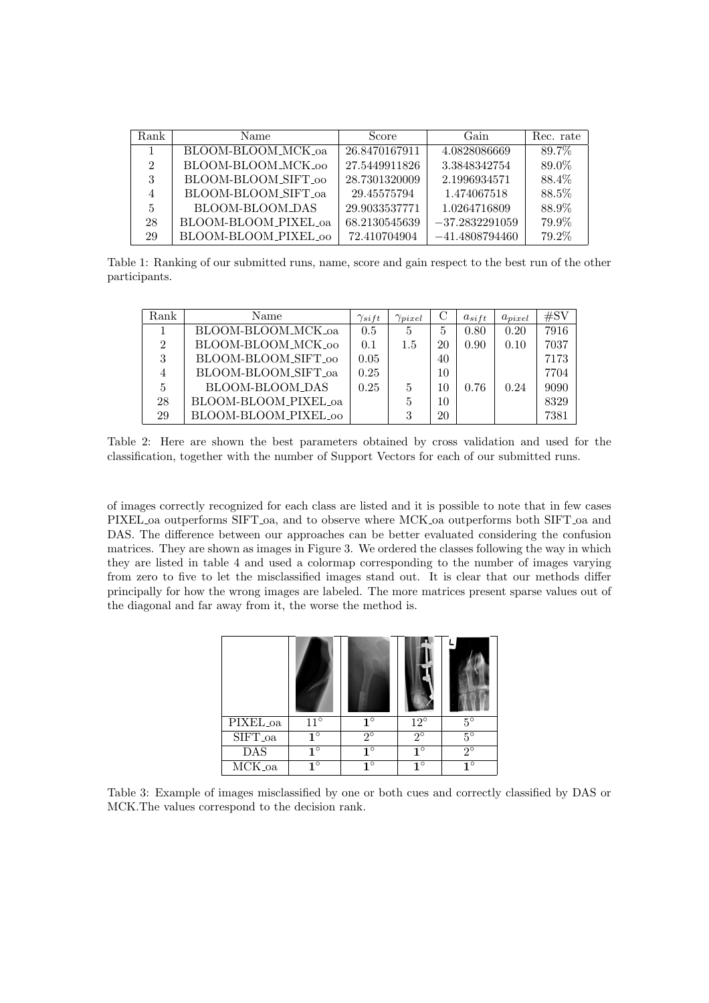| Rank           | Name                 | Score         | Gain             | Rec. rate |
|----------------|----------------------|---------------|------------------|-----------|
|                | BLOOM-BLOOM_MCK_oa   | 26.8470167911 | 4.0828086669     | 89.7%     |
| $\mathfrak{D}$ | BLOOM-BLOOM_MCK_00   | 27.5449911826 | 3.3848342754     | 89.0%     |
| 3              | BLOOM-BLOOM_SIFT_00  | 28.7301320009 | 2.1996934571     | 88.4%     |
| 4              | BLOOM-BLOOM_SIFT_oa  | 29.45575794   | 1.474067518      | 88.5%     |
| 5              | BLOOM-BLOOM_DAS      | 29.9033537771 | 1.0264716809     | 88.9%     |
| 28             | BLOOM-BLOOM_PIXEL_oa | 68.2130545639 | $-37.2832291059$ | 79.9%     |
| 29             | BLOOM-BLOOM_PIXEL_00 | 72.410704904  | $-41.4808794460$ | 79.2%     |

Table 1: Ranking of our submitted runs, name, score and gain respect to the best run of the other participants.

| Rank           | Name                 | $\gamma_{sift}$ | $\gamma_{pixel}$ | С  | $a_{sift}$ | $a_{pixel}$ | #SV  |
|----------------|----------------------|-----------------|------------------|----|------------|-------------|------|
|                | BLOOM-BLOOM_MCK_oa   | 0.5             | 5                | 5  | 0.80       | 0.20        | 7916 |
| $\mathfrak{D}$ | BLOOM-BLOOM_MCK_00   | 0.1             | 1.5              | 20 | 0.90       | 0.10        | 7037 |
| 3              | BLOOM-BLOOM_SIFT_00  | 0.05            |                  | 40 |            |             | 7173 |
|                | BLOOM-BLOOM_SIFT_oa  | 0.25            |                  | 10 |            |             | 7704 |
| 5              | BLOOM-BLOOM_DAS      | 0.25            | 5                | 10 | 0.76       | 0.24        | 9090 |
| 28             | BLOOM-BLOOM_PIXEL_oa |                 | 5                | 10 |            |             | 8329 |
| 29             | BLOOM-BLOOM_PIXEL_00 |                 | 3                | 20 |            |             | 7381 |

Table 2: Here are shown the best parameters obtained by cross validation and used for the classification, together with the number of Support Vectors for each of our submitted runs.

of images correctly recognized for each class are listed and it is possible to note that in few cases PIXEL oa outperforms SIFT oa, and to observe where MCK oa outperforms both SIFT oa and DAS. The difference between our approaches can be better evaluated considering the confusion matrices. They are shown as images in Figure 3. We ordered the classes following the way in which they are listed in table 4 and used a colormap corresponding to the number of images varying from zero to five to let the misclassified images stand out. It is clear that our methods differ principally for how the wrong images are labeled. The more matrices present sparse values out of the diagonal and far away from it, the worse the method is.

| PIXEL <sub>oa</sub> | $11^{\circ}$ | $1^{\circ}$ | $12^{\circ}$ | $5^{\circ}$ |
|---------------------|--------------|-------------|--------------|-------------|
| SIFT_oa             | $1^{\circ}$  | $2^{\circ}$ | $2^{\circ}$  | $5^{\circ}$ |
| DAS                 | $1^{\circ}$  | $1^{\circ}$ | $1^{\circ}$  | $2^{\circ}$ |
| MCK_oa              | $1^{\circ}$  | $1^{\circ}$ | $1^{\circ}$  | $1^{\circ}$ |

Table 3: Example of images misclassified by one or both cues and correctly classified by DAS or MCK.The values correspond to the decision rank.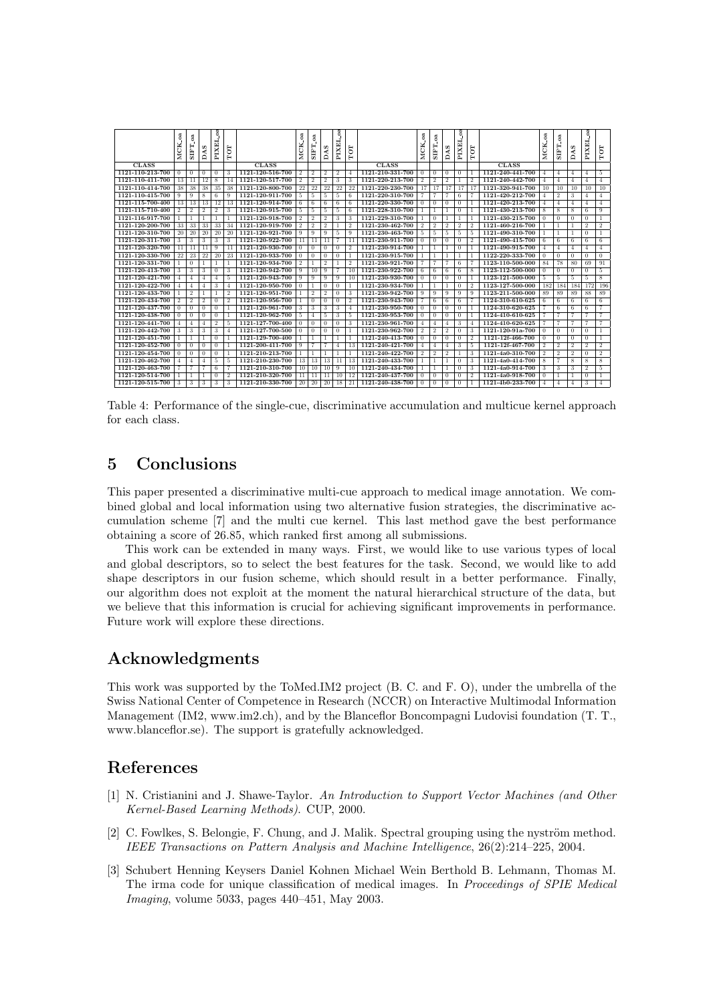|                  | .oa<br>MCK.    | g<br><b>STFT</b> | s<br>₫         | ą<br>PIXEL     | TOT            |                  | <sub>a</sub><br><b>MCK</b> | g<br><b>STFT</b> | c,<br>á        | ą<br>PIXEL      | TOT            |                  | -oa<br>MCK.    | g<br><b>STFT</b> | S<br>Ã         | ą<br>PIXEL     | TOT            |                  | g<br>MCK.      | g<br><b>TATS</b> | s<br>Á         | ą<br>PIXEL     | TOT            |
|------------------|----------------|------------------|----------------|----------------|----------------|------------------|----------------------------|------------------|----------------|-----------------|----------------|------------------|----------------|------------------|----------------|----------------|----------------|------------------|----------------|------------------|----------------|----------------|----------------|
| <b>CLASS</b>     |                |                  |                |                |                | <b>CLASS</b>     |                            |                  |                |                 |                | <b>CLASS</b>     |                |                  |                |                |                | <b>CLASS</b>     |                |                  |                |                |                |
| 1121-110-213-700 | 0              | $\Omega$         | $\Omega$       | $\Omega$       | 3              | 1121-120-516-700 | $\overline{2}$             | $\overline{2}$   | $2^{1}$        | $\overline{2}$  | $\overline{4}$ | 1121-210-331-700 | $\Omega$       | $\Omega$         | $^{\circ}$     | $\Omega$       |                | 1121-240-441-700 | $\overline{4}$ | $\overline{4}$   | 4              | $\overline{4}$ | 5              |
| 1121-110-411-700 | 13             | 11               | 12             | 8              | 14             | 1121-120-517-700 | $\overline{2}$             | $\overline{2}$   | $\overline{2}$ | 3               | 3              | 1121-220-213-700 | $\overline{2}$ | $\overline{2}$   | $\overline{2}$ |                | $\overline{2}$ | 1121-240-442-700 | $\overline{4}$ | $\overline{4}$   | $\overline{4}$ | $\overline{4}$ | $\overline{4}$ |
| 1121-110-414-700 | 38             | 38               | 38             | 35             | 38             | 1121-120-800-700 | 22                         | 22               | 22             | 22              | 22             | 1121-220-230-700 | 17             | 17               | 17             | 17             | 17             | 1121-320-941-700 | 10             | 10               | 10             | 10             | 10             |
| 1121-110-415-700 | 9.             | 9                | 8              | 6              | 9              | 1121-120-911-700 | 5                          | 5                | 5              | 5               | 6              | 1121-220-310-700 |                | 7                |                | 6              | 7              | 1121-420-212-700 |                | $\overline{2}$   | 3              | 4              | $^{4}$         |
| 1121-115-700-400 | 13             | 13               | 13             | 12             | 13             | 1121-120-914-700 | 6                          | 6                | 6              | 6               | 6              | 1121-220-330-700 | $\Omega$       | $\theta$         | $\Omega$       | $\Omega$       |                | 1121-420-213-700 | $\overline{4}$ | $\overline{4}$   | 4              | $\overline{4}$ | $\overline{4}$ |
| 1121-115-710-400 | $\overline{2}$ | $\overline{2}$   | $\overline{2}$ | $\overline{2}$ | 3              | 1121-120-915-700 | 5                          | 5                | 5              | -5              | 6              | 1121-228-310-700 |                | 1                |                | $\Omega$       |                | 1121-430-213-700 | 8              | 8                | 8              | 6              | 9              |
| 1121-116-917-700 |                |                  |                |                |                | 1121-120-918-700 | $\overline{2}$             | $\overline{2}$   | $\overline{2}$ | 3               | 3              | 1121-229-310-700 |                | $\theta$         |                |                |                | 1121-430-215-700 | $\Omega$       | $\theta$         | $\Omega$       | $\Omega$       |                |
| 1121-120-200-700 | 33             | 33               | 33             | 33             | 34             | 1121-120-919-700 | $\overline{2}$             | $\overline{2}$   | $\overline{2}$ |                 | 2              | 1121-230-462-700 | $\overline{2}$ | $\overline{2}$   | $\overline{2}$ | $\overline{2}$ | $\overline{2}$ | 1121-460-216-700 |                |                  |                | $\overline{2}$ | $\overline{2}$ |
| 1121-120-310-700 | 20             | 20               | 20             | 20             | 20             | 1121-120-921-700 | 9                          | 9                | 9              | 5               | 9              | 1121-230-463-700 | 5              | 5                | 5.             | 5              | 5              | 1121-490-310-700 |                |                  |                | $\Omega$       | 1              |
| 1121-120-311-700 | 3.             | 3                | 3              | 3              | 3              | 1121-120-922-700 | 11                         | 11               | 11             |                 | 11             | 1121-230-911-700 | $\Omega$       | $\Omega$         | 0              | $\Omega$       | $\overline{2}$ | 1121-490-415-700 | 6              | 6                | 6              | 6              | 6              |
| 1121-120-320-700 | 11             | 11               | 11             | 9              | 11             | 1121-120-930-700 | $\theta$                   | $\Omega$         | $\Omega$       | $\Omega$        | $\overline{2}$ | 1121-230-914-700 |                | $\mathbf{1}$     |                | $\Omega$       |                | 1121-490-915-700 | $\overline{A}$ | $\overline{4}$   | $\overline{4}$ | $\overline{4}$ | $\overline{4}$ |
| 1121-120-330-700 | 22             | 23               | 22             | 20             | 23             | 1121-120-933-700 | $\theta$                   | $\theta$         | $\theta$       | $\theta$        |                | 1121-230-915-700 | -1             | 1                |                |                |                | 1122-220-333-700 | $\Omega$       | $\theta$         | $\theta$       | $\theta$       | $\overline{0}$ |
| 1121-120-331-700 |                | $\Omega$         |                |                | -1             | 1121-120-934-700 | $\overline{2}$             |                  | $\overline{2}$ |                 | $\overline{2}$ | 1121-230-921-700 |                | $\overline{7}$   |                | 6              |                | 1123-110-500-000 | 84             | 78               | 80             | 69             | 91             |
| 1121-120-413-700 | 3              | 3                | 3              | $\Omega$       | 3              | 1121-120-942-700 | 9                          | 10               | 9              |                 | 10             | 1121-230-922-700 | 6              | 6                | 6              | 6              | 8              | 1123-112-500-000 | $\Omega$       | $\theta$         | $\Omega$       | $^{0}$         | 5              |
| 1121-120-421-700 |                | 4                | $\overline{A}$ | 4              | -5             | 1121-120-943-700 | 9                          | 9                | 9              | 9               | 10             | 1121-230-930-700 | $\Omega$       | $\theta$         | 0              | $\Omega$       |                | 1123-121-500-000 | 5              | -5               | 5              | 5              | 8              |
| 1121-120-422-700 | 4              | Δ                | $\overline{A}$ | 3              | $\overline{4}$ | 1121-120-950-700 | $\Omega$                   |                  | $\Omega$       | $\Omega$        |                | 1121-230-934-700 |                | 1                |                | $\Omega$       | $\overline{2}$ | 1123-127-500-000 | 182            | 184              | 184            | 172            | 196            |
| 1121-120-433-700 |                | $\overline{2}$   |                |                | $\overline{2}$ | 1121-120-951-700 |                            | $\overline{2}$   | $\overline{2}$ | $\Omega$        | 3              | 1121-230-942-700 | 9              | 9                | 9              | 9              | 9              | 1123-211-500-000 | 89             | 89               | 89             | 88             | 89             |
| 1121-120-434-700 | $\overline{2}$ | $\overline{2}$   | $\overline{2}$ | $\Omega$       | $\overline{2}$ | 1121-120-956-700 |                            | $\Omega$         | $\Omega$       | $\Omega$        | $\overline{2}$ | 1121-230-943-700 |                | 6                | 6              | 6              | $\overline{7}$ | 1124-310-610-625 | 6              | 6                | 6              | 6              | 6              |
| 1121-120-437-700 | 0              | $\Omega$         | $\sqrt{ }$     | $\overline{0}$ |                | 1121-120-961-700 | 3                          | 3                | 3              | 3               | $\overline{4}$ | 1121-230-950-700 | $\Omega$       | $\overline{0}$   | $\overline{0}$ | $\Omega$       |                | 1124-310-620-625 |                | 6                | 6              | 6              | 7              |
| 1121-120-438-700 | 0              | $\Omega$         | $\theta$       | $\Omega$       |                | 1121-120-962-700 | 5                          | 4                | 5.             | 3               | 5              | 1121-230-953-700 | $\Omega$       | $\theta$         | 0              | $\Omega$       |                | 1124-410-610-625 |                | 7                |                |                | 7              |
| 1121-120-441-700 | 4              | 4                | $\overline{A}$ | $\overline{2}$ | 5              | 1121-127-700-400 | $\theta$                   | $\theta$         | $\theta$       | $\theta$        | 3              | 1121-230-961-700 | 4              | $\overline{4}$   | 4              | 3              | 4              | 1124-410-620-625 |                |                  |                |                | 7              |
| 1121-120-442-700 | 3.             | 3                | 3              | 3              | $\overline{4}$ | 1121-127-700-500 | $\Omega$                   | $\Omega$         | $\Omega$       | $\Omega$        |                | 1121-230-962-700 | $\overline{2}$ | $\overline{2}$   | $\overline{2}$ | $\Omega$       | 3              | 1121-120-91a-700 | $\Omega$       | $\theta$         | $\Omega$       | $^{\circ}$     | 1              |
| 1121-120-451-700 |                |                  |                | $\Omega$       |                | 1121-129-700-400 |                            |                  |                |                 |                | 1121-240-413-700 | $\Omega$       | $\Omega$         | 0              | $\Omega$       | $\overline{2}$ | 1121-12f-466-700 | $\Omega$       | $\theta$         | $\Omega$       | $\Omega$       | $\mathbf{1}$   |
| 1121-120-452-700 | 0              | $\Omega$         | $\Omega$       | $\overline{0}$ |                | 1121-200-411-700 | 9                          |                  |                | $\overline{4}$  | 13             | 1121-240-421-700 | $\overline{4}$ | $\overline{4}$   | 4              | 3              | -5             | 1121-12f-467-700 | $\overline{2}$ | $\overline{2}$   | $\overline{2}$ | $\overline{2}$ | $\overline{2}$ |
| 1121-120-454-700 | 0.             | $\Omega$         | $\Omega$       | $\Omega$       |                | 1121-210-213-700 |                            |                  |                |                 |                | 1121-240-422-700 | $\overline{2}$ | $\overline{2}$   | $\overline{2}$ |                | 3              | 1121-4a0-310-700 | $\overline{2}$ | $\overline{2}$   | $\overline{2}$ | $\Omega$       | $\overline{2}$ |
| 1121-120-462-700 | $^{4}$         | 4                | $\overline{4}$ | 5              | 5              | 1121-210-230-700 | 13                         | 13               | 13             | 11 <sup>1</sup> | 13             | 1121-240-433-700 |                | 1                |                | $\Omega$       | 3              | 1121-4a0-414-700 | 8              | 7                | 8              | 8              | 8              |
| 1121-120-463-700 | 7.             |                  | 7              | 6              |                | 1121-210-310-700 | 10                         | 10               | 10             | 9               | 10             | 1121-240-434-700 | -1             | 1                |                | $\Omega$       | -3             | 1121-4a0-914-700 | -3             | 3                | 3              | $\overline{2}$ | 5              |
| 1121-120-514-700 |                |                  |                | $\Omega$       | $\overline{2}$ | 1121-210-320-700 | 11                         | 11               | 11             | 10              | 12             | 1121-240-437-700 | $\Omega$       | $\Omega$         | 0              | $\Omega$       | $\overline{2}$ | 1121-4a0-918-700 | $\Omega$       |                  |                | $\Omega$       |                |
| 1121-120-515-700 | 3.             | 3                | 3              | 3              | 3              | 1121-210-330-700 | 20                         | 20               | 20             | 18              | $-21$          | 1121-240-438-700 | $\Omega$       | $\Omega$         | 0              | $\Omega$       |                | 1121-4b0-233-700 | $\overline{4}$ | 4                | 4              | 3              | $\overline{4}$ |

Table 4: Performance of the single-cue, discriminative accumulation and multicue kernel approach for each class.

# 5 Conclusions

This paper presented a discriminative multi-cue approach to medical image annotation. We combined global and local information using two alternative fusion strategies, the discriminative accumulation scheme [7] and the multi cue kernel. This last method gave the best performance obtaining a score of 26.85, which ranked first among all submissions.

This work can be extended in many ways. First, we would like to use various types of local and global descriptors, so to select the best features for the task. Second, we would like to add shape descriptors in our fusion scheme, which should result in a better performance. Finally, our algorithm does not exploit at the moment the natural hierarchical structure of the data, but we believe that this information is crucial for achieving significant improvements in performance. Future work will explore these directions.

# Acknowledgments

This work was supported by the ToMed.IM2 project (B. C. and F. O), under the umbrella of the Swiss National Center of Competence in Research (NCCR) on Interactive Multimodal Information Management (IM2, www.im2.ch), and by the Blanceflor Boncompagni Ludovisi foundation (T. T., www.blanceflor.se). The support is gratefully acknowledged.

### References

- [1] N. Cristianini and J. Shawe-Taylor. An Introduction to Support Vector Machines (and Other Kernel-Based Learning Methods). CUP, 2000.
- [2] C. Fowlkes, S. Belongie, F. Chung, and J. Malik. Spectral grouping using the nyström method. IEEE Transactions on Pattern Analysis and Machine Intelligence, 26(2):214–225, 2004.
- [3] Schubert Henning Keysers Daniel Kohnen Michael Wein Berthold B. Lehmann, Thomas M. The irma code for unique classification of medical images. In Proceedings of SPIE Medical Imaging, volume 5033, pages 440–451, May 2003.